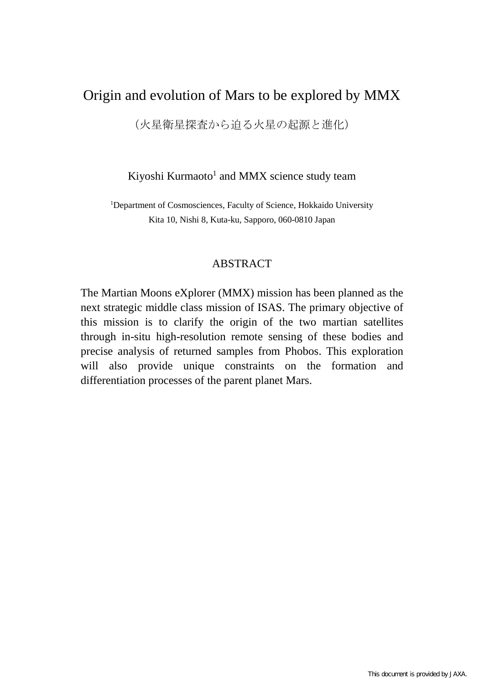## Origin and evolution of Mars to be explored by MMX

(火星衛星探査から迫る火星の起源と進化)

Kiyoshi Kurmaoto<sup>1</sup> and MMX science study team

<sup>1</sup>Department of Cosmosciences, Faculty of Science, Hokkaido University Kita 10, Nishi 8, Kuta-ku, Sapporo, 060-0810 Japan

## ABSTRACT

The Martian Moons eXplorer (MMX) mission has been planned as the next strategic middle class mission of ISAS. The primary objective of this mission is to clarify the origin of the two martian satellites through in-situ high-resolution remote sensing of these bodies and precise analysis of returned samples from Phobos. This exploration will also provide unique constraints on the formation and differentiation processes of the parent planet Mars.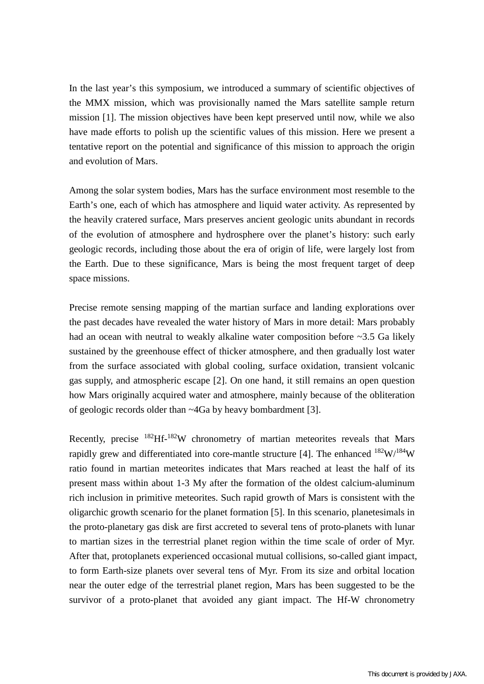In the last year's this symposium, we introduced a summary of scientific objectives of the MMX mission, which was provisionally named the Mars satellite sample return mission [1]. The mission objectives have been kept preserved until now, while we also have made efforts to polish up the scientific values of this mission. Here we present a tentative report on the potential and significance of this mission to approach the origin and evolution of Mars.

Among the solar system bodies, Mars has the surface environment most resemble to the Earth's one, each of which has atmosphere and liquid water activity. As represented by the heavily cratered surface, Mars preserves ancient geologic units abundant in records of the evolution of atmosphere and hydrosphere over the planet's history: such early geologic records, including those about the era of origin of life, were largely lost from the Earth. Due to these significance, Mars is being the most frequent target of deep space missions.

Precise remote sensing mapping of the martian surface and landing explorations over the past decades have revealed the water history of Mars in more detail: Mars probably had an ocean with neutral to weakly alkaline water composition before ~3.5 Ga likely sustained by the greenhouse effect of thicker atmosphere, and then gradually lost water from the surface associated with global cooling, surface oxidation, transient volcanic gas supply, and atmospheric escape [2]. On one hand, it still remains an open question how Mars originally acquired water and atmosphere, mainly because of the obliteration of geologic records older than ~4Ga by heavy bombardment [3].

Recently, precise <sup>182</sup>Hf-<sup>182</sup>W chronometry of martian meteorites reveals that Mars rapidly grew and differentiated into core-mantle structure [4]. The enhanced  $^{182}$ W/ $^{184}$ W ratio found in martian meteorites indicates that Mars reached at least the half of its present mass within about 1-3 My after the formation of the oldest calcium-aluminum rich inclusion in primitive meteorites. Such rapid growth of Mars is consistent with the oligarchic growth scenario for the planet formation [5]. In this scenario, planetesimals in the proto-planetary gas disk are first accreted to several tens of proto-planets with lunar to martian sizes in the terrestrial planet region within the time scale of order of Myr. After that, protoplanets experienced occasional mutual collisions, so-called giant impact, to form Earth-size planets over several tens of Myr. From its size and orbital location near the outer edge of the terrestrial planet region, Mars has been suggested to be the survivor of a proto-planet that avoided any giant impact. The Hf-W chronometry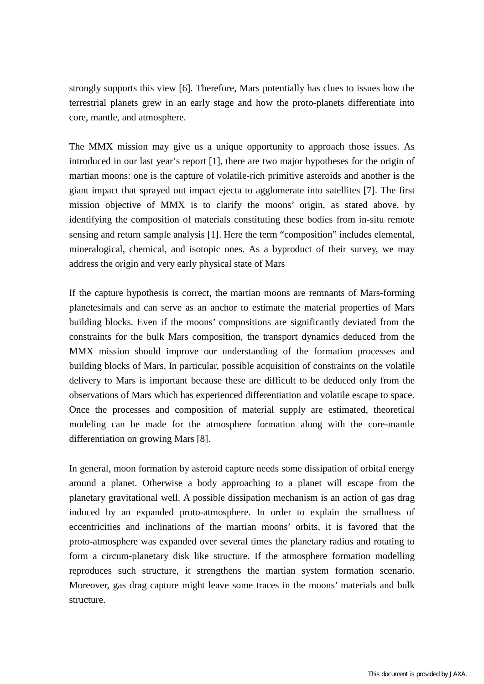strongly supports this view [6]. Therefore, Mars potentially has clues to issues how the terrestrial planets grew in an early stage and how the proto-planets differentiate into core, mantle, and atmosphere.

The MMX mission may give us a unique opportunity to approach those issues. As introduced in our last year's report [1], there are two major hypotheses for the origin of martian moons: one is the capture of volatile-rich primitive asteroids and another is the giant impact that sprayed out impact ejecta to agglomerate into satellites [7]. The first mission objective of MMX is to clarify the moons' origin, as stated above, by identifying the composition of materials constituting these bodies from in-situ remote sensing and return sample analysis [1]. Here the term "composition" includes elemental, mineralogical, chemical, and isotopic ones. As a byproduct of their survey, we may address the origin and very early physical state of Mars

If the capture hypothesis is correct, the martian moons are remnants of Mars-forming planetesimals and can serve as an anchor to estimate the material properties of Mars building blocks. Even if the moons' compositions are significantly deviated from the constraints for the bulk Mars composition, the transport dynamics deduced from the MMX mission should improve our understanding of the formation processes and building blocks of Mars. In particular, possible acquisition of constraints on the volatile delivery to Mars is important because these are difficult to be deduced only from the observations of Mars which has experienced differentiation and volatile escape to space. Once the processes and composition of material supply are estimated, theoretical modeling can be made for the atmosphere formation along with the core-mantle differentiation on growing Mars [8].

In general, moon formation by asteroid capture needs some dissipation of orbital energy around a planet. Otherwise a body approaching to a planet will escape from the planetary gravitational well. A possible dissipation mechanism is an action of gas drag induced by an expanded proto-atmosphere. In order to explain the smallness of eccentricities and inclinations of the martian moons' orbits, it is favored that the proto-atmosphere was expanded over several times the planetary radius and rotating to form a circum-planetary disk like structure. If the atmosphere formation modelling reproduces such structure, it strengthens the martian system formation scenario. Moreover, gas drag capture might leave some traces in the moons' materials and bulk structure.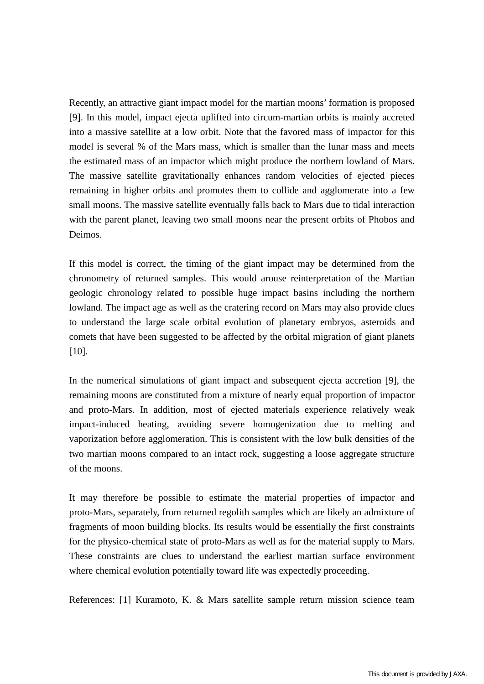Recently, an attractive giant impact model for the martian moons' formation is proposed [9]. In this model, impact ejecta uplifted into circum-martian orbits is mainly accreted into a massive satellite at a low orbit. Note that the favored mass of impactor for this model is several % of the Mars mass, which is smaller than the lunar mass and meets the estimated mass of an impactor which might produce the northern lowland of Mars. The massive satellite gravitationally enhances random velocities of ejected pieces remaining in higher orbits and promotes them to collide and agglomerate into a few small moons. The massive satellite eventually falls back to Mars due to tidal interaction with the parent planet, leaving two small moons near the present orbits of Phobos and Deimos.

If this model is correct, the timing of the giant impact may be determined from the chronometry of returned samples. This would arouse reinterpretation of the Martian geologic chronology related to possible huge impact basins including the northern lowland. The impact age as well as the cratering record on Mars may also provide clues to understand the large scale orbital evolution of planetary embryos, asteroids and comets that have been suggested to be affected by the orbital migration of giant planets [10].

In the numerical simulations of giant impact and subsequent ejecta accretion [9], the remaining moons are constituted from a mixture of nearly equal proportion of impactor and proto-Mars. In addition, most of ejected materials experience relatively weak impact-induced heating, avoiding severe homogenization due to melting and vaporization before agglomeration. This is consistent with the low bulk densities of the two martian moons compared to an intact rock, suggesting a loose aggregate structure of the moons.

It may therefore be possible to estimate the material properties of impactor and proto-Mars, separately, from returned regolith samples which are likely an admixture of fragments of moon building blocks. Its results would be essentially the first constraints for the physico-chemical state of proto-Mars as well as for the material supply to Mars. These constraints are clues to understand the earliest martian surface environment where chemical evolution potentially toward life was expectedly proceeding.

References: [1] Kuramoto, K. & Mars satellite sample return mission science team